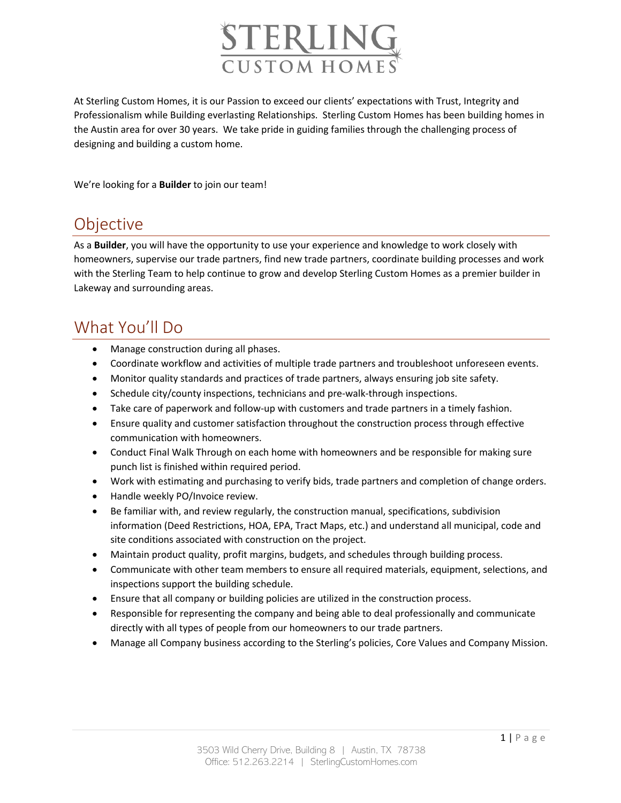

At Sterling Custom Homes, it is our Passion to exceed our clients' expectations with Trust, Integrity and Professionalism while Building everlasting Relationships. Sterling Custom Homes has been building homes in the Austin area for over 30 years. We take pride in guiding families through the challenging process of designing and building a custom home.

We're looking for a **Builder** to join our team!

## Objective

As a **Builder**, you will have the opportunity to use your experience and knowledge to work closely with homeowners, supervise our trade partners, find new trade partners, coordinate building processes and work with the Sterling Team to help continue to grow and develop Sterling Custom Homes as a premier builder in Lakeway and surrounding areas.

## What You'll Do

- Manage construction during all phases.
- Coordinate workflow and activities of multiple trade partners and troubleshoot unforeseen events.
- Monitor quality standards and practices of trade partners, always ensuring job site safety.
- Schedule city/county inspections, technicians and pre-walk-through inspections.
- Take care of paperwork and follow-up with customers and trade partners in a timely fashion.
- Ensure quality and customer satisfaction throughout the construction process through effective communication with homeowners.
- Conduct Final Walk Through on each home with homeowners and be responsible for making sure punch list is finished within required period.
- Work with estimating and purchasing to verify bids, trade partners and completion of change orders.
- Handle weekly PO/Invoice review.
- Be familiar with, and review regularly, the construction manual, specifications, subdivision information (Deed Restrictions, HOA, EPA, Tract Maps, etc.) and understand all municipal, code and site conditions associated with construction on the project.
- Maintain product quality, profit margins, budgets, and schedules through building process.
- Communicate with other team members to ensure all required materials, equipment, selections, and inspections support the building schedule.
- Ensure that all company or building policies are utilized in the construction process.
- Responsible for representing the company and being able to deal professionally and communicate directly with all types of people from our homeowners to our trade partners.
- Manage all Company business according to the Sterling's policies, Core Values and Company Mission.